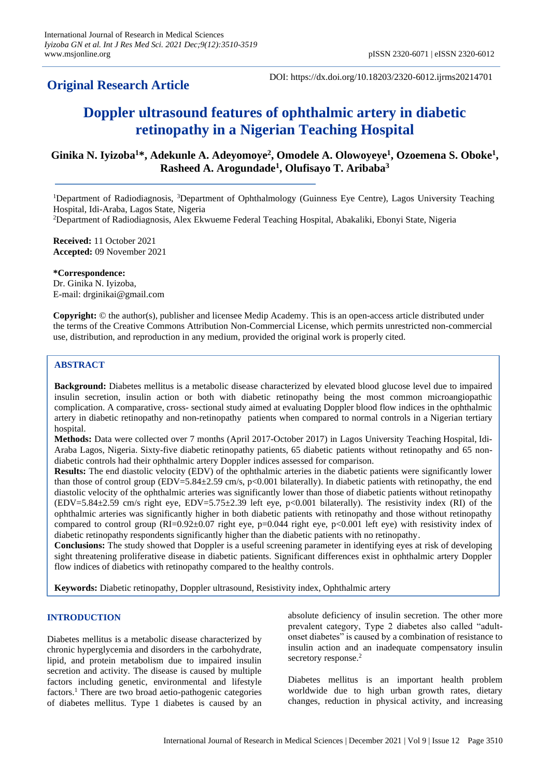# **Original Research Article**

DOI: https://dx.doi.org/10.18203/2320-6012.ijrms20214701

# **Doppler ultrasound features of ophthalmic artery in diabetic retinopathy in a Nigerian Teaching Hospital**

## **Ginika N. Iyizoba<sup>1</sup>\*, Adekunle A. Adeyomoye<sup>2</sup> , Omodele A. Olowoyeye<sup>1</sup> , Ozoemena S. Oboke<sup>1</sup> , Rasheed A. Arogundade<sup>1</sup> , Olufisayo T. Aribaba<sup>3</sup>**

<sup>1</sup>Department of Radiodiagnosis, <sup>3</sup>Department of Ophthalmology (Guinness Eye Centre), Lagos University Teaching Hospital, Idi-Araba, Lagos State, Nigeria

<sup>2</sup>Department of Radiodiagnosis, Alex Ekwueme Federal Teaching Hospital, Abakaliki, Ebonyi State, Nigeria

**Received:** 11 October 2021 **Accepted:** 09 November 2021

**\*Correspondence:** Dr. Ginika N. Iyizoba, E-mail: drginikai@gmail.com

**Copyright:** © the author(s), publisher and licensee Medip Academy. This is an open-access article distributed under the terms of the Creative Commons Attribution Non-Commercial License, which permits unrestricted non-commercial use, distribution, and reproduction in any medium, provided the original work is properly cited.

## **ABSTRACT**

**Background:** Diabetes mellitus is a metabolic disease characterized by elevated blood glucose level due to impaired insulin secretion, insulin action or both with diabetic retinopathy being the most common microangiopathic complication. A comparative, cross- sectional study aimed at evaluating Doppler blood flow indices in the ophthalmic artery in diabetic retinopathy and non-retinopathy patients when compared to normal controls in a Nigerian tertiary hospital.

**Methods:** Data were collected over 7 months (April 2017-October 2017) in Lagos University Teaching Hospital, Idi-Araba Lagos, Nigeria. Sixty-five diabetic retinopathy patients, 65 diabetic patients without retinopathy and 65 nondiabetic controls had their ophthalmic artery Doppler indices assessed for comparison.

**Results:** The end diastolic velocity (EDV) of the ophthalmic arteries in the diabetic patients were significantly lower than those of control group (EDV=5.84 $\pm$ 2.59 cm/s, p<0.001 bilaterally). In diabetic patients with retinopathy, the end diastolic velocity of the ophthalmic arteries was significantly lower than those of diabetic patients without retinopathy (EDV=5.84±2.59 cm/s right eye, EDV=5.75±2.39 left eye, p<0.001 bilaterally). The resistivity index (RI) of the ophthalmic arteries was significantly higher in both diabetic patients with retinopathy and those without retinopathy compared to control group (RI=0.92±0.07 right eye, p=0.044 right eye, p<0.001 left eye) with resistivity index of diabetic retinopathy respondents significantly higher than the diabetic patients with no retinopathy.

**Conclusions:** The study showed that Doppler is a useful screening parameter in identifying eyes at risk of developing sight threatening proliferative disease in diabetic patients. Significant differences exist in ophthalmic artery Doppler flow indices of diabetics with retinopathy compared to the healthy controls.

**Keywords:** Diabetic retinopathy, Doppler ultrasound, Resistivity index, Ophthalmic artery

## **INTRODUCTION**

Diabetes mellitus is a metabolic disease characterized by chronic hyperglycemia and disorders in the carbohydrate, lipid, and protein metabolism due to impaired insulin secretion and activity. The disease is caused by multiple factors including genetic, environmental and lifestyle factors.<sup>1</sup> There are two broad aetio-pathogenic categories of diabetes mellitus. Type 1 diabetes is caused by an absolute deficiency of insulin secretion. The other more prevalent category, Type 2 diabetes also called "adultonset diabetes" is caused by a combination of resistance to insulin action and an inadequate compensatory insulin secretory response.<sup>2</sup>

Diabetes mellitus is an important health problem worldwide due to high urban growth rates, dietary changes, reduction in physical activity, and increasing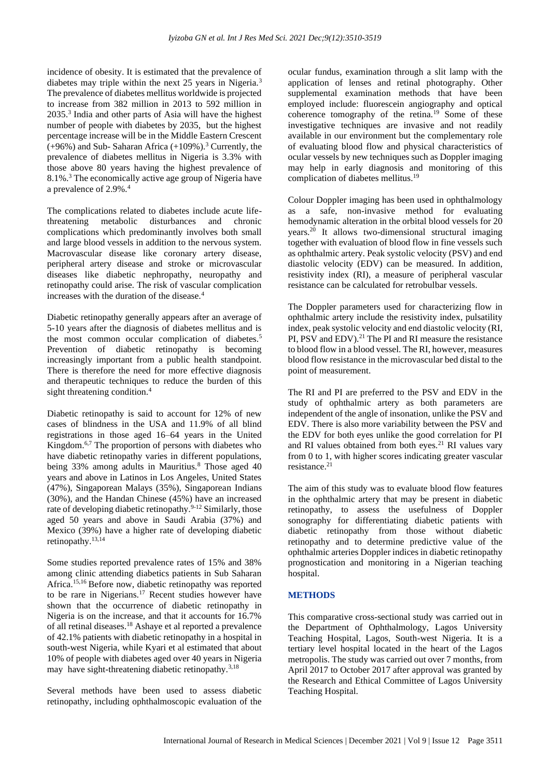incidence of obesity. It is estimated that the prevalence of diabetes may triple within the next 25 years in Nigeria.<sup>3</sup> The prevalence of diabetes mellitus worldwide is projected to increase from 382 million in 2013 to 592 million in 2035.<sup>3</sup> India and other parts of Asia will have the highest number of people with diabetes by 2035, but the highest percentage increase will be in the Middle Eastern Crescent  $(+96%)$  and Sub-Saharan Africa  $(+109%)$ .<sup>3</sup> Currently, the prevalence of diabetes mellitus in Nigeria is 3.3% with those above 80 years having the highest prevalence of 8.1%.<sup>3</sup> The economically active age group of Nigeria have a prevalence of 2.9%.<sup>4</sup>

The complications related to diabetes include acute lifethreatening metabolic disturbances and chronic complications which predominantly involves both small and large blood vessels in addition to the nervous system. Macrovascular disease like coronary artery disease, peripheral artery disease and stroke or microvascular diseases like diabetic nephropathy, neuropathy and retinopathy could arise. The risk of vascular complication increases with the duration of the disease.<sup>4</sup>

Diabetic retinopathy generally appears after an average of 5-10 years after the diagnosis of diabetes mellitus and is the most common occular complication of diabetes.<sup>5</sup> Prevention of diabetic retinopathy is becoming increasingly important from a public health standpoint. There is therefore the need for more effective diagnosis and therapeutic techniques to reduce the burden of this sight threatening condition.<sup>4</sup>

Diabetic retinopathy is said to account for 12% of new cases of blindness in the USA and 11.9% of all blind registrations in those aged 16–64 years in the United Kingdom.<sup>6,7</sup> The proportion of persons with diabetes who have diabetic retinopathy varies in different populations, being 33% among adults in Mauritius.<sup>8</sup> Those aged 40 years and above in Latinos in Los Angeles, United States (47%), Singaporean Malays (35%), Singaporean Indians (30%), and the Handan Chinese (45%) have an increased rate of developing diabetic retinopathy.<sup>9-12</sup> Similarly, those aged 50 years and above in Saudi Arabia (37%) and Mexico (39%) have a higher rate of developing diabetic retinopathy.13,14

Some studies reported prevalence rates of 15% and 38% among clinic attending diabetics patients in Sub Saharan Africa.15,16 Before now, diabetic retinopathy was reported to be rare in Nigerians.<sup>17</sup> Recent studies however have shown that the occurrence of diabetic retinopathy in Nigeria is on the increase, and that it accounts for 16.7% of all retinal diseases.<sup>18</sup> Ashaye et al reported a prevalence of 42.1% patients with diabetic retinopathy in a hospital in south-west Nigeria, while Kyari et al estimated that about 10% of people with diabetes aged over 40 years in Nigeria may have sight-threatening diabetic retinopathy.<sup>3,18</sup>

Several methods have been used to assess diabetic retinopathy, including ophthalmoscopic evaluation of the ocular fundus, examination through a slit lamp with the application of lenses and retinal photography. Other supplemental examination methods that have been employed include: fluorescein angiography and optical coherence tomography of the retina.<sup>19</sup> Some of these investigative techniques are invasive and not readily available in our environment but the complementary role of evaluating blood flow and physical characteristics of ocular vessels by new techniques such as Doppler imaging may help in early diagnosis and monitoring of this complication of diabetes mellitus.<sup>19</sup>

Colour Doppler imaging has been used in ophthalmology as a safe, non-invasive method for evaluating hemodynamic alteration in the orbital blood vessels for 20 years.<sup>20</sup> It allows two-dimensional structural imaging together with evaluation of blood flow in fine vessels such as ophthalmic artery. Peak systolic velocity (PSV) and end diastolic velocity (EDV) can be measured. In addition, resistivity index (RI), a measure of peripheral vascular resistance can be calculated for retrobulbar vessels.

The Doppler parameters used for characterizing flow in ophthalmic artery include the resistivity index, pulsatility index, peak systolic velocity and end diastolic velocity (RI, PI, PSV and EDV).<sup>21</sup> The PI and RI measure the resistance to blood flow in a blood vessel. The RI, however, measures blood flow resistance in the microvascular bed distal to the point of measurement.

The RI and PI are preferred to the PSV and EDV in the study of ophthalmic artery as both parameters are independent of the angle of insonation, unlike the PSV and EDV. There is also more variability between the PSV and the EDV for both eyes unlike the good correlation for PI and RI values obtained from both eyes.<sup>21</sup> RI values vary from 0 to 1, with higher scores indicating greater vascular resistance.<sup>21</sup>

The aim of this study was to evaluate blood flow features in the ophthalmic artery that may be present in diabetic retinopathy, to assess the usefulness of Doppler sonography for differentiating diabetic patients with diabetic retinopathy from those without diabetic retinopathy and to determine predictive value of the ophthalmic arteries Doppler indices in diabetic retinopathy prognostication and monitoring in a Nigerian teaching hospital.

## **METHODS**

This comparative cross-sectional study was carried out in the Department of Ophthalmology, Lagos University Teaching Hospital, Lagos, South-west Nigeria. It is a tertiary level hospital located in the heart of the Lagos metropolis. The study was carried out over 7 months, from April 2017 to October 2017 after approval was granted by the Research and Ethical Committee of Lagos University Teaching Hospital.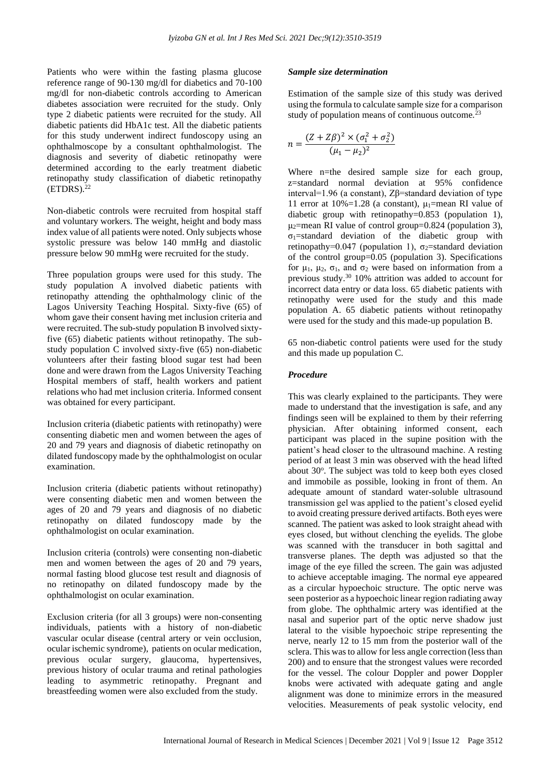Patients who were within the fasting plasma glucose reference range of 90-130 mg/dl for diabetics and 70-100 mg/dl for non-diabetic controls according to American diabetes association were recruited for the study. Only type 2 diabetic patients were recruited for the study. All diabetic patients did HbA1c test. All the diabetic patients for this study underwent indirect fundoscopy using an ophthalmoscope by a consultant ophthalmologist. The diagnosis and severity of diabetic retinopathy were determined according to the early treatment diabetic retinopathy study classification of diabetic retinopathy  $(ETDRS).<sup>22</sup>$ 

Non-diabetic controls were recruited from hospital staff and voluntary workers. The weight, height and body mass index value of all patients were noted. Only subjects whose systolic pressure was below 140 mmHg and diastolic pressure below 90 mmHg were recruited for the study.

Three population groups were used for this study. The study population A involved diabetic patients with retinopathy attending the ophthalmology clinic of the Lagos University Teaching Hospital. Sixty-five (65) of whom gave their consent having met inclusion criteria and were recruited. The sub-study population B involved sixtyfive (65) diabetic patients without retinopathy. The substudy population C involved sixty-five (65) non-diabetic volunteers after their fasting blood sugar test had been done and were drawn from the Lagos University Teaching Hospital members of staff, health workers and patient relations who had met inclusion criteria. Informed consent was obtained for every participant.

Inclusion criteria (diabetic patients with retinopathy) were consenting diabetic men and women between the ages of 20 and 79 years and diagnosis of diabetic retinopathy on dilated fundoscopy made by the ophthalmologist on ocular examination.

Inclusion criteria (diabetic patients without retinopathy) were consenting diabetic men and women between the ages of 20 and 79 years and diagnosis of no diabetic retinopathy on dilated fundoscopy made by the ophthalmologist on ocular examination.

Inclusion criteria (controls) were consenting non-diabetic men and women between the ages of 20 and 79 years, normal fasting blood glucose test result and diagnosis of no retinopathy on dilated fundoscopy made by the ophthalmologist on ocular examination.

Exclusion criteria (for all 3 groups) were non-consenting individuals, patients with a history of non-diabetic vascular ocular disease (central artery or vein occlusion, ocular ischemic syndrome), patients on ocular medication, previous ocular surgery, glaucoma, hypertensives, previous history of ocular trauma and retinal pathologies leading to asymmetric retinopathy. Pregnant and breastfeeding women were also excluded from the study.

#### *Sample size determination*

Estimation of the sample size of this study was derived using the formula to calculate sample size for a comparison study of population means of continuous outcome.<sup>23</sup>

$$
n = \frac{(Z + Z\beta)^2 \times (\sigma_1^2 + \sigma_2^2)}{(\mu_1 - \mu_2)^2}
$$

Where n=the desired sample size for each group, z=standard normal deviation at 95% confidence interval=1.96 (a constant), Zβ=standard deviation of type 11 error at 10%=1.28 (a constant),  $\mu_1$ =mean RI value of diabetic group with retinopathy=0.853 (population 1),  $\mu_2$ =mean RI value of control group=0.824 (population 3),  $\sigma_1$ =standard deviation of the diabetic group with retinopathy=0.047 (population 1),  $\sigma_2$ =standard deviation of the control group=0.05 (population 3). Specifications for μ<sub>1</sub>, μ<sub>2</sub>, σ<sub>1</sub>, and σ<sub>2</sub> were based on information from a previous study.<sup>30</sup> 10% attrition was added to account for incorrect data entry or data loss. 65 diabetic patients with retinopathy were used for the study and this made population A. 65 diabetic patients without retinopathy were used for the study and this made-up population B.

65 non-diabetic control patients were used for the study and this made up population C.

#### *Procedure*

This was clearly explained to the participants. They were made to understand that the investigation is safe, and any findings seen will be explained to them by their referring physician. After obtaining informed consent, each participant was placed in the supine position with the patient's head closer to the ultrasound machine. A resting period of at least 3 min was observed with the head lifted about 30°. The subject was told to keep both eyes closed and immobile as possible, looking in front of them. An adequate amount of standard water-soluble ultrasound transmission gel was applied to the patient's closed eyelid to avoid creating pressure derived artifacts. Both eyes were scanned. The patient was asked to look straight ahead with eyes closed, but without clenching the eyelids. The globe was scanned with the transducer in both sagittal and transverse planes. The depth was adjusted so that the image of the eye filled the screen. The gain was adjusted to achieve acceptable imaging. The normal eye appeared as a circular hypoechoic structure. The optic nerve was seen posterior as a hypoechoic linear region radiating away from globe. The ophthalmic artery was identified at the nasal and superior part of the optic nerve shadow just lateral to the visible hypoechoic stripe representing the nerve, nearly 12 to 15 mm from the posterior wall of the sclera. This was to allow for less angle correction (less than 200) and to ensure that the strongest values were recorded for the vessel. The colour Doppler and power Doppler knobs were activated with adequate gating and angle alignment was done to minimize errors in the measured velocities. Measurements of peak systolic velocity, end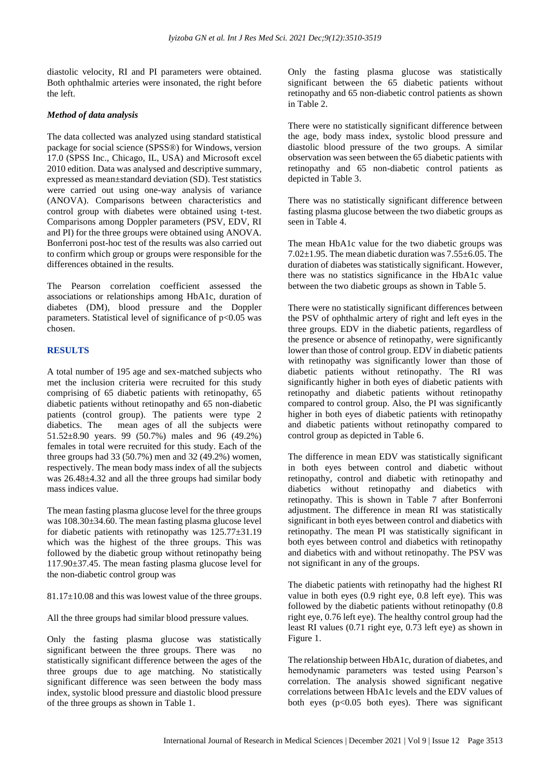diastolic velocity, RI and PI parameters were obtained. Both ophthalmic arteries were insonated, the right before the left.

## *Method of data analysis*

The data collected was analyzed using standard statistical package for social science (SPSS®) for Windows, version 17.0 (SPSS Inc., Chicago, IL, USA) and Microsoft excel 2010 edition. Data was analysed and descriptive summary, expressed as mean±standard deviation (SD). Test statistics were carried out using one-way analysis of variance (ANOVA). Comparisons between characteristics and control group with diabetes were obtained using t-test. Comparisons among Doppler parameters (PSV, EDV, RI and PI) for the three groups were obtained using ANOVA. Bonferroni post-hoc test of the results was also carried out to confirm which group or groups were responsible for the differences obtained in the results.

The Pearson correlation coefficient assessed the associations or relationships among HbA1c, duration of diabetes (DM), blood pressure and the Doppler parameters. Statistical level of significance of  $p<0.05$  was chosen.

## **RESULTS**

A total number of 195 age and sex-matched subjects who met the inclusion criteria were recruited for this study comprising of 65 diabetic patients with retinopathy, 65 diabetic patients without retinopathy and 65 non-diabetic patients (control group). The patients were type 2 diabetics. The mean ages of all the subjects were 51.52±8.90 years. 99 (50.7%) males and 96 (49.2%) females in total were recruited for this study. Each of the three groups had 33 (50.7%) men and 32 (49.2%) women, respectively. The mean body mass index of all the subjects was 26.48±4.32 and all the three groups had similar body mass indices value.

The mean fasting plasma glucose level for the three groups was 108.30±34.60. The mean fasting plasma glucose level for diabetic patients with retinopathy was  $125.77\pm31.19$ which was the highest of the three groups. This was followed by the diabetic group without retinopathy being 117.90±37.45. The mean fasting plasma glucose level for the non-diabetic control group was

81.17±10.08 and this was lowest value of the three groups.

All the three groups had similar blood pressure values.

Only the fasting plasma glucose was statistically significant between the three groups. There was no statistically significant difference between the ages of the three groups due to age matching. No statistically significant difference was seen between the body mass index, systolic blood pressure and diastolic blood pressure of the three groups as shown in Table 1.

Only the fasting plasma glucose was statistically significant between the 65 diabetic patients without retinopathy and 65 non-diabetic control patients as shown in Table 2.

There were no statistically significant difference between the age, body mass index, systolic blood pressure and diastolic blood pressure of the two groups. A similar observation was seen between the 65 diabetic patients with retinopathy and 65 non-diabetic control patients as depicted in Table 3.

There was no statistically significant difference between fasting plasma glucose between the two diabetic groups as seen in Table 4.

The mean HbA1c value for the two diabetic groups was 7.02 $\pm$ 1.95. The mean diabetic duration was 7.55 $\pm$ 6.05. The duration of diabetes was statistically significant. However, there was no statistics significance in the HbA1c value between the two diabetic groups as shown in Table 5.

There were no statistically significant differences between the PSV of ophthalmic artery of right and left eyes in the three groups. EDV in the diabetic patients, regardless of the presence or absence of retinopathy, were significantly lower than those of control group. EDV in diabetic patients with retinopathy was significantly lower than those of diabetic patients without retinopathy. The RI was significantly higher in both eyes of diabetic patients with retinopathy and diabetic patients without retinopathy compared to control group. Also, the PI was significantly higher in both eyes of diabetic patients with retinopathy and diabetic patients without retinopathy compared to control group as depicted in Table 6.

The difference in mean EDV was statistically significant in both eyes between control and diabetic without retinopathy, control and diabetic with retinopathy and diabetics without retinopathy and diabetics with retinopathy. This is shown in Table 7 after Bonferroni adjustment. The difference in mean RI was statistically significant in both eyes between control and diabetics with retinopathy. The mean PI was statistically significant in both eyes between control and diabetics with retinopathy and diabetics with and without retinopathy. The PSV was not significant in any of the groups.

The diabetic patients with retinopathy had the highest RI value in both eyes (0.9 right eye, 0.8 left eye). This was followed by the diabetic patients without retinopathy (0.8 right eye, 0.76 left eye). The healthy control group had the least RI values (0.71 right eye, 0.73 left eye) as shown in Figure 1.

The relationship between HbA1c, duration of diabetes, and hemodynamic parameters was tested using Pearson's correlation. The analysis showed significant negative correlations between HbA1c levels and the EDV values of both eyes ( $p<0.05$  both eyes). There was significant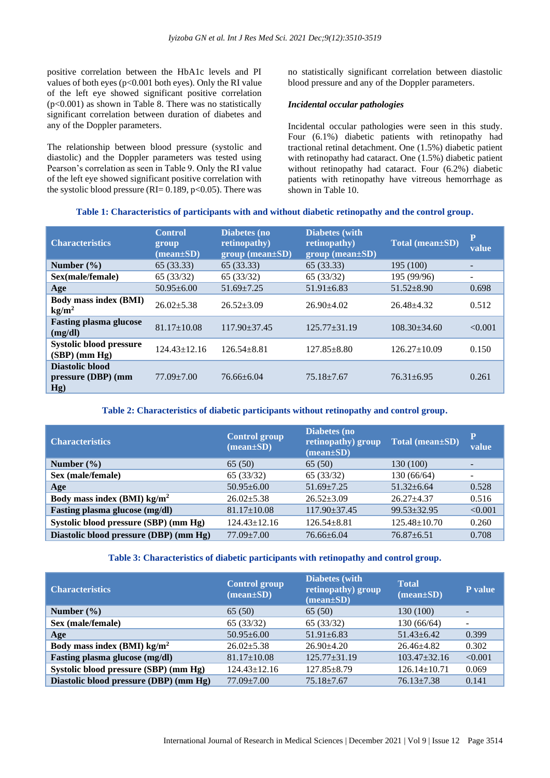positive correlation between the HbA1c levels and PI values of both eyes (p<0.001 both eyes). Only the RI value of the left eye showed significant positive correlation (p<0.001) as shown in Table 8. There was no statistically significant correlation between duration of diabetes and any of the Doppler parameters.

The relationship between blood pressure (systolic and diastolic) and the Doppler parameters was tested using Pearson's correlation as seen in Table 9. Only the RI value of the left eye showed significant positive correlation with the systolic blood pressure (RI=  $0.189$ , p<0.05). There was no statistically significant correlation between diastolic blood pressure and any of the Doppler parameters.

#### *Incidental occular pathologies*

Incidental occular pathologies were seen in this study. Four (6.1%) diabetic patients with retinopathy had tractional retinal detachment. One (1.5%) diabetic patient with retinopathy had cataract. One (1.5%) diabetic patient without retinopathy had cataract. Four (6.2%) diabetic patients with retinopathy have vitreous hemorrhage as shown in Table 10.

#### **Table 1: Characteristics of participants with and without diabetic retinopathy and the control group.**

| <b>Characteristics</b>                            | <b>Control</b><br>group<br>$(\text{mean} \pm \text{SD})$ | Diabetes (no<br>retinopathy)<br>$group (mean \pm SD)$ | <b>Diabetes</b> (with<br>retinopathy)<br>$group (mean \pm SD)$ | Total (mean±SD)    | P<br>value               |
|---------------------------------------------------|----------------------------------------------------------|-------------------------------------------------------|----------------------------------------------------------------|--------------------|--------------------------|
| Number $(\% )$                                    | 65(33.33)                                                | 65 (33.33)                                            | 65 (33.33)                                                     | 195 (100)          | -                        |
| Sex(male/female)                                  | 65(33/32)                                                | 65(33/32)                                             | 65(33/32)                                                      | 195 (99/96)        | $\overline{\phantom{0}}$ |
| Age                                               | $50.95 \pm 6.00$                                         | $51.69 + 7.25$                                        | $51.91 \pm 6.83$                                               | $51.52 \pm 8.90$   | 0.698                    |
| <b>Body mass index (BMI)</b><br>kg/m <sup>2</sup> | $26.02 + 5.38$                                           | $26.52 \pm 3.09$                                      | $26.90 + 4.02$                                                 | $26.48 + 4.32$     | 0.512                    |
| <b>Fasting plasma glucose</b><br>(mg/dl)          | $81.17 \pm 10.08$                                        | $117.90 \pm 37.45$                                    | $125.77 + 31.19$                                               | $108.30 + 34.60$   | < 0.001                  |
| <b>Systolic blood pressure</b><br>$(SBP)$ (mm Hg) | $124.43 \pm 12.16$                                       | $126.54 + 8.81$                                       | $127.85 \pm 8.80$                                              | $126.27 \pm 10.09$ | 0.150                    |
| Diastolic blood<br>pressure (DBP) (mm<br>Hg)      | $77.09 + 7.00$                                           | $76.66 \pm 6.04$                                      | $75.18 + 7.67$                                                 | $76.31 \pm 6.95$   | 0.261                    |

## **Table 2: Characteristics of diabetic participants without retinopathy and control group.**

| <b>Characteristics</b>                 | <b>Control group</b><br>$(mean \pm SD)$ | Diabetes (no<br>retinopathy) group<br>$(mean \pm SD)$ | Total (mean±SD)    | P<br>value |
|----------------------------------------|-----------------------------------------|-------------------------------------------------------|--------------------|------------|
| Number $(\% )$                         | 65(50)                                  | 65(50)                                                | 130 (100)          |            |
| Sex (male/female)                      | 65(33/32)                               | 65(33/32)                                             | 130(66/64)         |            |
| Age                                    | $50.95 \pm 6.00$                        | $51.69 + 7.25$                                        | $51.32 + 6.64$     | 0.528      |
| Body mass index (BMI) $\text{kg/m}^2$  | $26.02 + 5.38$                          | $26.52+3.09$                                          | $26.27 + 4.37$     | 0.516      |
| Fasting plasma glucose (mg/dl)         | $81.17 \pm 10.08$                       | $117.90 \pm 37.45$                                    | $99.53 \pm 32.95$  | < 0.001    |
| Systolic blood pressure (SBP) (mm Hg)  | $124.43 \pm 12.16$                      | $126.54 + 8.81$                                       | $125.48 \pm 10.70$ | 0.260      |
| Diastolic blood pressure (DBP) (mm Hg) | $77.09 + 7.00$                          | $76.66 \pm 6.04$                                      | $76.87 \pm 6.51$   | 0.708      |

#### **Table 3: Characteristics of diabetic participants with retinopathy and control group.**

| <b>Characteristics</b>                 | <b>Control group</b><br>$(\text{mean}\pm S\textbf{D})$ | <b>Diabetes</b> (with<br>retinopathy) group<br>$(\text{mean}\pm S\textbf{D})$ | <b>Total</b><br>$(\text{mean}\pm S\textbf{D})$ | P value |
|----------------------------------------|--------------------------------------------------------|-------------------------------------------------------------------------------|------------------------------------------------|---------|
| Number $(\% )$                         | 65(50)                                                 | 65(50)                                                                        | 130 (100)                                      |         |
| Sex (male/female)                      | 65(33/32)                                              | 65(33/32)                                                                     | 130(66/64)                                     |         |
| Age                                    | $50.95 \pm 6.00$                                       | $51.91 \pm 6.83$                                                              | $51.43 \pm 6.42$                               | 0.399   |
| Body mass index (BMI) $\text{kg/m}^2$  | $26.02 \pm 5.38$                                       | $26.90 + 4.20$                                                                | $26.46 + 4.82$                                 | 0.302   |
| Fasting plasma glucose (mg/dl)         | $81.17 \pm 10.08$                                      | $125.77 \pm 31.19$                                                            | $103.47 + 32.16$                               | < 0.001 |
| Systolic blood pressure (SBP) (mm Hg)  | $124.43 \pm 12.16$                                     | $127.85 \pm 8.79$                                                             | $126.14 \pm 10.71$                             | 0.069   |
| Diastolic blood pressure (DBP) (mm Hg) | $77.09 \pm 7.00$                                       | $75.18 + 7.67$                                                                | $76.13 \pm 7.38$                               | 0.141   |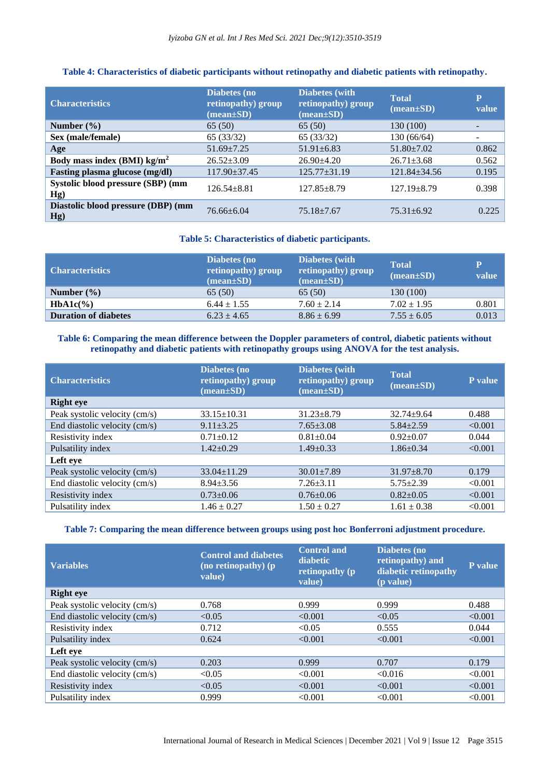## **Table 4: Characteristics of diabetic participants without retinopathy and diabetic patients with retinopathy.**

| <b>Characteristics</b>                    | Diabetes (no<br>retinopathy) group<br>$(\text{mean}\pm\text{SD})$ | <b>Diabetes</b> (with<br>retinopathy) group<br>$(\text{mean}\pm\text{SD})$ | <b>Total</b><br>$(\text{mean} \pm \text{SD})$ | $\mathbf{P}$<br>value    |
|-------------------------------------------|-------------------------------------------------------------------|----------------------------------------------------------------------------|-----------------------------------------------|--------------------------|
| Number $(\% )$                            | 65(50)                                                            | 65(50)                                                                     | 130 (100)                                     |                          |
| Sex (male/female)                         | 65(33/32)                                                         | 65(33/32)                                                                  | 130 (66/64)                                   | $\overline{\phantom{0}}$ |
| Age                                       | $51.69 \pm 7.25$                                                  | $51.91 \pm 6.83$                                                           | $51.80 \pm 7.02$                              | 0.862                    |
| Body mass index (BMI) $\text{kg/m}^2$     | $26.52 \pm 3.09$                                                  | $26.90 + 4.20$                                                             | $26.71 \pm 3.68$                              | 0.562                    |
| Fasting plasma glucose (mg/dl)            | $117.90 \pm 37.45$                                                | $125.77 \pm 31.19$                                                         | $121.84 \pm 34.56$                            | 0.195                    |
| Systolic blood pressure (SBP) (mm<br>Hg)  | $126.54 \pm 8.81$                                                 | $127.85 \pm 8.79$                                                          | $127.19 \pm 8.79$                             | 0.398                    |
| Diastolic blood pressure (DBP) (mm<br>Hg) | 76.66+6.04                                                        | $75.18 \pm 7.67$                                                           | $75.31 + 6.92$                                | 0.225                    |

#### **Table 5: Characteristics of diabetic participants.**

| <b>Characteristics</b>      | Diabetes (no<br>retinopathy) group<br>$(\text{mean} \pm \text{SD})$ | Diabetes (with<br>retinopathy) group<br>$(\text{mean}\pm S\text{D})$ | <b>Total</b><br>$(\text{mean}\pm S\text{D})$ | P<br>value |
|-----------------------------|---------------------------------------------------------------------|----------------------------------------------------------------------|----------------------------------------------|------------|
| Number $(\% )$              | 65(50)                                                              | 65 (50)                                                              | 130 (100)                                    |            |
| $HbA1c(\%)$                 | $6.44 \pm 1.55$                                                     | $7.60 \pm 2.14$                                                      | $7.02 \pm 1.95$                              | 0.801      |
| <b>Duration of diabetes</b> | $6.23 \pm 4.65$                                                     | $8.86 \pm 6.99$                                                      | $7.55 \pm 6.05$                              | 0.013      |

## **Table 6: Comparing the mean difference between the Doppler parameters of control, diabetic patients without retinopathy and diabetic patients with retinopathy groups using ANOVA for the test analysis.**

| <b>Characteristics</b>        | Diabetes (no<br>retinopathy) group<br>$(\text{mean}\pm\text{SD})$ | <b>Diabetes</b> (with<br>retinopathy) group<br>$(\text{mean}\pm S\textbf{D})$ | <b>Total</b><br>$(mean \pm SD)$ | P value |
|-------------------------------|-------------------------------------------------------------------|-------------------------------------------------------------------------------|---------------------------------|---------|
| <b>Right</b> eye              |                                                                   |                                                                               |                                 |         |
| Peak systolic velocity (cm/s) | $33.15 \pm 10.31$                                                 | $31.23 \pm 8.79$                                                              | $32.74 \pm 9.64$                | 0.488   |
| End diastolic velocity (cm/s) | $9.11 \pm 3.25$                                                   | $7.65 \pm 3.08$                                                               | $5.84 \pm 2.59$                 | < 0.001 |
| Resistivity index             | $0.71 \pm 0.12$                                                   | $0.81 \pm 0.04$                                                               | $0.92 \pm 0.07$                 | 0.044   |
| Pulsatility index             | $1.42 \pm 0.29$                                                   | $1.49 \pm 0.33$                                                               | $1.86 \pm 0.34$                 | < 0.001 |
| Left eye                      |                                                                   |                                                                               |                                 |         |
| Peak systolic velocity (cm/s) | $33.04 \pm 11.29$                                                 | $30.01 \pm 7.89$                                                              | $31.97 \pm 8.70$                | 0.179   |
| End diastolic velocity (cm/s) | $8.94 \pm 3.56$                                                   | $7.26 \pm 3.11$                                                               | $5.75 \pm 2.39$                 | < 0.001 |
| Resistivity index             | $0.73 \pm 0.06$                                                   | $0.76 \pm 0.06$                                                               | $0.82 \pm 0.05$                 | < 0.001 |
| Pulsatility index             | $1.46 \pm 0.27$                                                   | $1.50 \pm 0.27$                                                               | $1.61 \pm 0.38$                 | < 0.001 |

## **Table 7: Comparing the mean difference between groups using post hoc Bonferroni adjustment procedure.**

| <b>Variables</b>              | <b>Control and diabetes</b><br>(no retinopathy) (p<br>value) | <b>Control</b> and<br>diabetic<br>retinopathy (p)<br>value) | Diabetes (no<br>retinopathy) and<br>diabetic retinopathy<br>(p value) | P value |
|-------------------------------|--------------------------------------------------------------|-------------------------------------------------------------|-----------------------------------------------------------------------|---------|
| <b>Right</b> eye              |                                                              |                                                             |                                                                       |         |
| Peak systolic velocity (cm/s) | 0.768                                                        | 0.999                                                       | 0.999                                                                 | 0.488   |
| End diastolic velocity (cm/s) | < 0.05                                                       | < 0.001                                                     | < 0.05                                                                | < 0.001 |
| Resistivity index             | 0.712                                                        | < 0.05                                                      | 0.555                                                                 | 0.044   |
| Pulsatility index             | 0.624                                                        | < 0.001                                                     | < 0.001                                                               | < 0.001 |
| Left eye                      |                                                              |                                                             |                                                                       |         |
| Peak systolic velocity (cm/s) | 0.203                                                        | 0.999                                                       | 0.707                                                                 | 0.179   |
| End diastolic velocity (cm/s) | < 0.05                                                       | < 0.001                                                     | < 0.016                                                               | < 0.001 |
| Resistivity index             | < 0.05                                                       | < 0.001                                                     | < 0.001                                                               | < 0.001 |
| Pulsatility index             | 0.999                                                        | < 0.001                                                     | < 0.001                                                               | < 0.001 |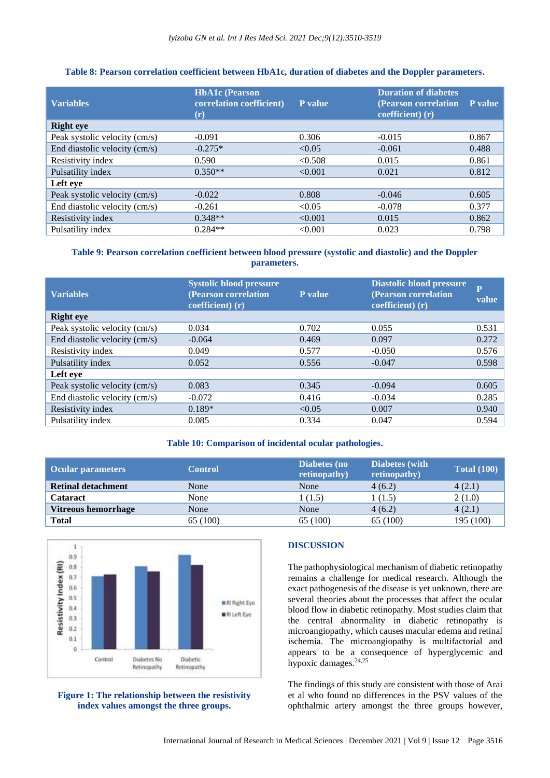#### **Table 8: Pearson correlation coefficient between HbA1c, duration of diabetes and the Doppler parameters.**

| <b>Variables</b>              | <b>HbA1c</b> (Pearson<br>correlation coefficient)<br>$(\mathbf{r})$ | P value | <b>Duration of diabetes</b><br>(Pearson correlation<br>coefficient) (r) | P value |
|-------------------------------|---------------------------------------------------------------------|---------|-------------------------------------------------------------------------|---------|
| <b>Right</b> eye              |                                                                     |         |                                                                         |         |
| Peak systolic velocity (cm/s) | $-0.091$                                                            | 0.306   | $-0.015$                                                                | 0.867   |
| End diastolic velocity (cm/s) | $-0.275*$                                                           | < 0.05  | $-0.061$                                                                | 0.488   |
| Resistivity index             | 0.590                                                               | < 0.508 | 0.015                                                                   | 0.861   |
| Pulsatility index             | $0.350**$                                                           | < 0.001 | 0.021                                                                   | 0.812   |
| Left eye                      |                                                                     |         |                                                                         |         |
| Peak systolic velocity (cm/s) | $-0.022$                                                            | 0.808   | $-0.046$                                                                | 0.605   |
| End diastolic velocity (cm/s) | $-0.261$                                                            | < 0.05  | $-0.078$                                                                | 0.377   |
| Resistivity index             | $0.348**$                                                           | < 0.001 | 0.015                                                                   | 0.862   |
| Pulsatility index             | $0.284**$                                                           | < 0.001 | 0.023                                                                   | 0.798   |

## **Table 9: Pearson correlation coefficient between blood pressure (systolic and diastolic) and the Doppler parameters.**

| <b>Variables</b>              | <b>Systolic blood pressure</b><br>(Pearson correlation<br>coefficient) (r) | <b>P</b> value | <b>Diastolic blood pressure</b><br>(Pearson correlation<br>coefficient) (r) | $\overline{P}$<br>value |
|-------------------------------|----------------------------------------------------------------------------|----------------|-----------------------------------------------------------------------------|-------------------------|
| <b>Right eye</b>              |                                                                            |                |                                                                             |                         |
| Peak systolic velocity (cm/s) | 0.034                                                                      | 0.702          | 0.055                                                                       | 0.531                   |
| End diastolic velocity (cm/s) | $-0.064$                                                                   | 0.469          | 0.097                                                                       | 0.272                   |
| Resistivity index             | 0.049                                                                      | 0.577          | $-0.050$                                                                    | 0.576                   |
| Pulsatility index             | 0.052                                                                      | 0.556          | $-0.047$                                                                    | 0.598                   |
| Left eye                      |                                                                            |                |                                                                             |                         |
| Peak systolic velocity (cm/s) | 0.083                                                                      | 0.345          | $-0.094$                                                                    | 0.605                   |
| End diastolic velocity (cm/s) | $-0.072$                                                                   | 0.416          | $-0.034$                                                                    | 0.285                   |
| Resistivity index             | $0.189*$                                                                   | < 0.05         | 0.007                                                                       | 0.940                   |
| Pulsatility index             | 0.085                                                                      | 0.334          | 0.047                                                                       | 0.594                   |

#### **Table 10: Comparison of incidental ocular pathologies.**

| <b>Ocular parameters</b>  | <b>Control</b> | Diabetes (no<br>retinopathy) | <b>Diabetes</b> (with<br>retinopathy) | <b>Total (100)</b> |
|---------------------------|----------------|------------------------------|---------------------------------------|--------------------|
| <b>Retinal detachment</b> | None           | None                         | 4(6.2)                                | 4(2.1)             |
| <b>Cataract</b>           | None           | 1(1.5)                       | 1(1.5)                                | 2(1.0)             |
| Vitreous hemorrhage       | None           | None                         | 4(6.2)                                | 4(2.1)             |
| <b>Total</b>              | 65 (100)       | 65 (100)                     | 65 (100)                              | 195 (100)          |



## **Figure 1: The relationship between the resistivity index values amongst the three groups.**

## **DISCUSSION**

The pathophysiological mechanism of diabetic retinopathy remains a challenge for medical research. Although the exact pathogenesis of the disease is yet unknown, there are several theories about the processes that affect the ocular blood flow in diabetic retinopathy. Most studies claim that the central abnormality in diabetic retinopathy is microangiopathy, which causes macular edema and retinal ischemia. The microangiopathy is multifactorial and appears to be a consequence of hyperglycemic and hypoxic damages.<sup>24,25</sup>

The findings of this study are consistent with those of Arai et al who found no differences in the PSV values of the ophthalmic artery amongst the three groups however,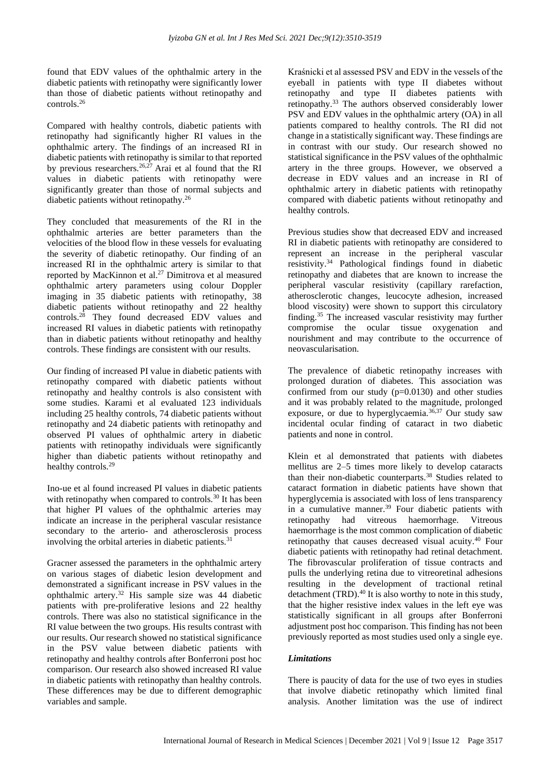found that EDV values of the ophthalmic artery in the diabetic patients with retinopathy were significantly lower than those of diabetic patients without retinopathy and controls.<sup>26</sup>

Compared with healthy controls, diabetic patients with retinopathy had significantly higher RI values in the ophthalmic artery. The findings of an increased RI in diabetic patients with retinopathy is similar to that reported by previous researchers.<sup>26,27</sup> Arai et al found that the RI values in diabetic patients with retinopathy were significantly greater than those of normal subjects and diabetic patients without retinopathy.<sup>26</sup>

They concluded that measurements of the RI in the ophthalmic arteries are better parameters than the velocities of the blood flow in these vessels for evaluating the severity of diabetic retinopathy. Our finding of an increased RI in the ophthalmic artery is similar to that reported by MacKinnon et al.<sup>27</sup> Dimitrova et al measured ophthalmic artery parameters using colour Doppler imaging in 35 diabetic patients with retinopathy, 38 diabetic patients without retinopathy and 22 healthy controls.<sup>28</sup> They found decreased EDV values and increased RI values in diabetic patients with retinopathy than in diabetic patients without retinopathy and healthy controls. These findings are consistent with our results.

Our finding of increased PI value in diabetic patients with retinopathy compared with diabetic patients without retinopathy and healthy controls is also consistent with some studies. Karami et al evaluated 123 individuals including 25 healthy controls, 74 diabetic patients without retinopathy and 24 diabetic patients with retinopathy and observed PI values of ophthalmic artery in diabetic patients with retinopathy individuals were significantly higher than diabetic patients without retinopathy and healthy controls.<sup>29</sup>

Ino-ue et al found increased PI values in diabetic patients with retinopathy when compared to controls.<sup>30</sup> It has been that higher PI values of the ophthalmic arteries may indicate an increase in the peripheral vascular resistance secondary to the arterio- and atherosclerosis process involving the orbital arteries in diabetic patients.<sup>31</sup>

Gracner assessed the parameters in the ophthalmic artery on various stages of diabetic lesion development and demonstrated a significant increase in PSV values in the ophthalmic artery.<sup>32</sup> His sample size was 44 diabetic patients with pre-proliferative lesions and 22 healthy controls. There was also no statistical significance in the RI value between the two groups. His results contrast with our results. Our research showed no statistical significance in the PSV value between diabetic patients with retinopathy and healthy controls after Bonferroni post hoc comparison. Our research also showed increased RI value in diabetic patients with retinopathy than healthy controls. These differences may be due to different demographic variables and sample.

Kraśnicki et al assessed PSV and EDV in the vessels of the eyeball in patients with type II diabetes without retinopathy and type II diabetes patients with retinopathy.<sup>33</sup> The authors observed considerably lower PSV and EDV values in the ophthalmic artery (OA) in all patients compared to healthy controls. The RI did not change in a statistically significant way. These findings are in contrast with our study. Our research showed no statistical significance in the PSV values of the ophthalmic artery in the three groups. However, we observed a decrease in EDV values and an increase in RI of ophthalmic artery in diabetic patients with retinopathy compared with diabetic patients without retinopathy and healthy controls.

Previous studies show that decreased EDV and increased RI in diabetic patients with retinopathy are considered to represent an increase in the peripheral vascular resistivity.<sup>34</sup> Pathological findings found in diabetic retinopathy and diabetes that are known to increase the peripheral vascular resistivity (capillary rarefaction, atherosclerotic changes, leucocyte adhesion, increased blood viscosity) were shown to support this circulatory finding.<sup>35</sup> The increased vascular resistivity may further compromise the ocular tissue oxygenation and nourishment and may contribute to the occurrence of neovascularisation.

The prevalence of diabetic retinopathy increases with prolonged duration of diabetes. This association was confirmed from our study  $(p=0.0130)$  and other studies and it was probably related to the magnitude, prolonged exposure, or due to hyperglycaemia. $3\overline{6}$ ,  $37$  Our study saw incidental ocular finding of cataract in two diabetic patients and none in control.

Klein et al demonstrated that patients with diabetes mellitus are 2–5 times more likely to develop cataracts than their non-diabetic counterparts.<sup>38</sup> Studies related to cataract formation in diabetic patients have shown that hyperglycemia is associated with loss of lens transparency in a cumulative manner.<sup>39</sup> Four diabetic patients with retinopathy had vitreous haemorrhage. Vitreous haemorrhage is the most common complication of diabetic retinopathy that causes decreased visual acuity.<sup>40</sup> Four diabetic patients with retinopathy had retinal detachment. The fibrovascular proliferation of tissue contracts and pulls the underlying retina due to vitreoretinal adhesions resulting in the development of tractional retinal detachment (TRD). $40$  It is also worthy to note in this study, that the higher resistive index values in the left eye was statistically significant in all groups after Bonferroni adjustment post hoc comparison. This finding has not been previously reported as most studies used only a single eye.

## *Limitations*

There is paucity of data for the use of two eyes in studies that involve diabetic retinopathy which limited final analysis. Another limitation was the use of indirect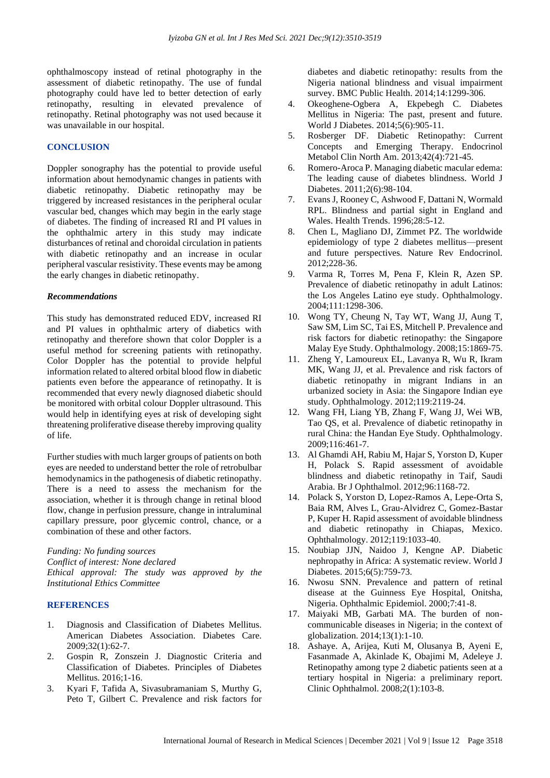ophthalmoscopy instead of retinal photography in the assessment of diabetic retinopathy. The use of fundal photography could have led to better detection of early retinopathy, resulting in elevated prevalence of retinopathy. Retinal photography was not used because it was unavailable in our hospital.

#### **CONCLUSION**

Doppler sonography has the potential to provide useful information about hemodynamic changes in patients with diabetic retinopathy. Diabetic retinopathy may be triggered by increased resistances in the peripheral ocular vascular bed, changes which may begin in the early stage of diabetes. The finding of increased RI and PI values in the ophthalmic artery in this study may indicate disturbances of retinal and choroidal circulation in patients with diabetic retinopathy and an increase in ocular peripheral vascular resistivity. These events may be among the early changes in diabetic retinopathy.

#### *Recommendations*

This study has demonstrated reduced EDV, increased RI and PI values in ophthalmic artery of diabetics with retinopathy and therefore shown that color Doppler is a useful method for screening patients with retinopathy. Color Doppler has the potential to provide helpful information related to altered orbital blood flow in diabetic patients even before the appearance of retinopathy. It is recommended that every newly diagnosed diabetic should be monitored with orbital colour Doppler ultrasound. This would help in identifying eyes at risk of developing sight threatening proliferative disease thereby improving quality of life.

Further studies with much larger groups of patients on both eyes are needed to understand better the role of retrobulbar hemodynamics in the pathogenesis of diabetic retinopathy. There is a need to assess the mechanism for the association, whether it is through change in retinal blood flow, change in perfusion pressure, change in intraluminal capillary pressure, poor glycemic control, chance, or a combination of these and other factors.

*Funding: No funding sources Conflict of interest: None declared Ethical approval: The study was approved by the Institutional Ethics Committee*

#### **REFERENCES**

- 1. Diagnosis and Classification of Diabetes Mellitus. American Diabetes Association. Diabetes Care. 2009;32(1):62-7.
- 2. Gospin R, Zonszein J. Diagnostic Criteria and Classification of Diabetes. Principles of Diabetes Mellitus. 2016;1-16.
- 3. Kyari F, Tafida A, Sivasubramaniam S, Murthy G, Peto T, Gilbert C. Prevalence and risk factors for

diabetes and diabetic retinopathy: results from the Nigeria national blindness and visual impairment survey. BMC Public Health. 2014;14:1299-306.

- 4. Okeoghene-Ogbera A, Ekpebegh C. Diabetes Mellitus in Nigeria: The past, present and future. World J Diabetes. 2014;5(6):905-11.
- 5. Rosberger DF. Diabetic Retinopathy: Current Concepts and Emerging Therapy. Endocrinol Metabol Clin North Am. 2013;42(4):721-45.
- 6. Romero-Aroca P. Managing diabetic macular edema: The leading cause of diabetes blindness. World J Diabetes. 2011;2(6):98-104.
- 7. Evans J, Rooney C, Ashwood F, Dattani N, Wormald RPL. Blindness and partial sight in England and Wales. Health Trends. 1996;28:5-12.
- 8. Chen L, Magliano DJ, Zimmet PZ. The worldwide epidemiology of type 2 diabetes mellitus—present and future perspectives. Nature Rev Endocrinol. 2012;228-36.
- 9. Varma R, Torres M, Pena F, Klein R, Azen SP. Prevalence of diabetic retinopathy in adult Latinos: the Los Angeles Latino eye study. Ophthalmology. 2004;111:1298-306.
- 10. Wong TY, Cheung N, Tay WT, Wang JJ, Aung T, Saw SM, Lim SC, Tai ES, Mitchell P. Prevalence and risk factors for diabetic retinopathy: the Singapore Malay Eye Study. Ophthalmology. 2008;15:1869-75.
- 11. Zheng Y, Lamoureux EL, Lavanya R, Wu R, Ikram MK, Wang JJ, et al. Prevalence and risk factors of diabetic retinopathy in migrant Indians in an urbanized society in Asia: the Singapore Indian eye study. Ophthalmology. 2012;119:2119-24.
- 12. Wang FH, Liang YB, Zhang F, Wang JJ, Wei WB, Tao QS, et al. Prevalence of diabetic retinopathy in rural China: the Handan Eye Study. Ophthalmology. 2009;116:461-7.
- 13. Al Ghamdi AH, Rabiu M, Hajar S, Yorston D, Kuper H, Polack S. Rapid assessment of avoidable blindness and diabetic retinopathy in Taif, Saudi Arabia. Br J Ophthalmol. 2012;96:1168-72.
- 14. Polack S, Yorston D, Lopez-Ramos A, Lepe-Orta S, Baia RM, Alves L, Grau-Alvidrez C, Gomez-Bastar P, Kuper H. Rapid assessment of avoidable blindness and diabetic retinopathy in Chiapas, Mexico. Ophthalmology. 2012;119:1033-40.
- 15. Noubiap JJN, Naidoo J, Kengne AP. Diabetic nephropathy in Africa: A systematic review. World J Diabetes. 2015;6(5):759-73.
- 16. Nwosu SNN. Prevalence and pattern of retinal disease at the Guinness Eye Hospital, Onitsha, Nigeria. Ophthalmic Epidemiol. 2000;7:41-8.
- 17. Maiyaki MB, Garbati MA. The burden of noncommunicable diseases in Nigeria; in the context of globalization. 2014;13(1):1-10.
- 18. Ashaye. A, Arijea, Kuti M, Olusanya B, Ayeni E, Fasanmade A, Akinlade K, Obajimi M, Adeleye J. Retinopathy among type 2 diabetic patients seen at a tertiary hospital in Nigeria: a preliminary report. Clinic Ophthalmol. 2008;2(1):103-8.